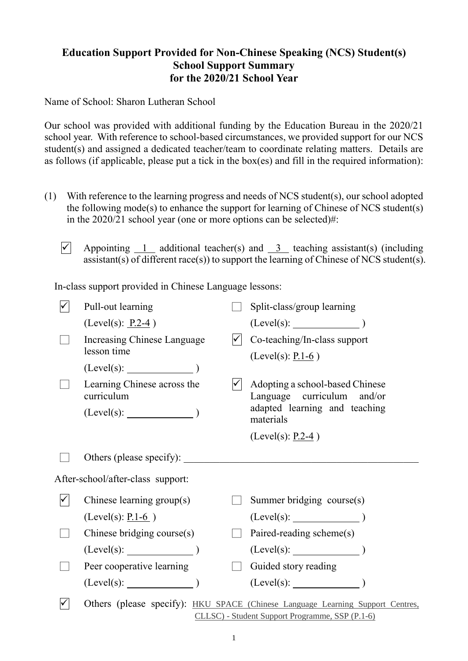## **Education Support Provided for Non-Chinese Speaking (NCS) Student(s) School Support Summary for the 2020/21 School Year**

Name of School: Sharon Lutheran School

Our school was provided with additional funding by the Education Bureau in the 2020/21 school year. With reference to school-based circumstances, we provided support for our NCS student(s) and assigned a dedicated teacher/team to coordinate relating matters. Details are as follows (if applicable, please put a tick in the box(es) and fill in the required information):

- (1) With reference to the learning progress and needs of NCS student(s), our school adopted the following mode(s) to enhance the support for learning of Chinese of NCS student(s) in the 2020/21 school year (one or more options can be selected)#:
	- $\overline{V}$  Appointing 1 additional teacher(s) and 3 teaching assistant(s) (including assistant(s) of different race(s)) to support the learning of Chinese of NCS student(s).

In-class support provided in Chinese Language lessons:

|              | Pull-out learning                         | Split-class/group learning                                                     |
|--------------|-------------------------------------------|--------------------------------------------------------------------------------|
|              | $(Level(s): P.2-4)$                       |                                                                                |
|              | Increasing Chinese Language               | Co-teaching/In-class support                                                   |
|              | lesson time                               | (Level(s): $P.1-6$ )                                                           |
|              | $(Level(s):$ $)$                          |                                                                                |
|              | Learning Chinese across the<br>curriculum | Adopting a school-based Chinese<br>Language curriculum and/or                  |
|              | $(Level(s):$ $)$                          | adapted learning and teaching<br>materials                                     |
|              |                                           | (Level(s): $P.2-4$ )                                                           |
|              |                                           |                                                                                |
|              | After-school/after-class support:         |                                                                                |
| $\checkmark$ | Chinese learning $group(s)$               | Summer bridging course(s)                                                      |
|              | (Level(s): $P.1-6$ )                      |                                                                                |
|              | Chinese bridging course(s)                | Paired-reading scheme(s)                                                       |
|              | $(Level(s):$ $)$                          |                                                                                |
|              | Peer cooperative learning                 | Guided story reading                                                           |
|              | (Level(s):                                | (Level(s):                                                                     |
| ✓            |                                           | Others (please specify): HKU SPACE (Chinese Language Learning Support Centres, |
|              |                                           | CLLSC) - Student Support Programme, SSP (P.1-6)                                |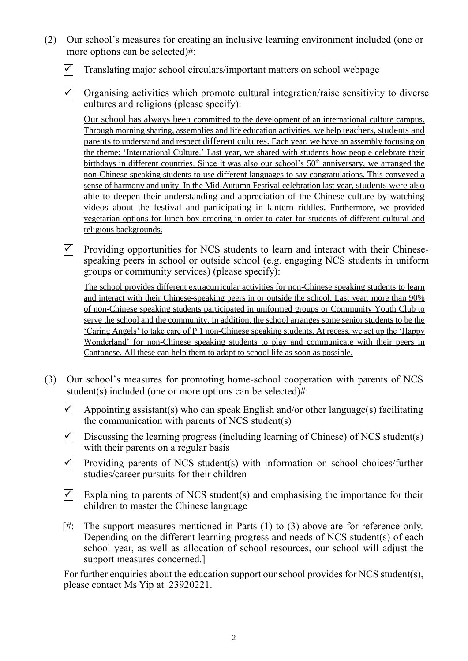- (2) Our school's measures for creating an inclusive learning environment included (one or more options can be selected)#:
	- $\vert \checkmark \vert$  Translating major school circulars/important matters on school webpage
	- $\triangledown$  Organising activities which promote cultural integration/raise sensitivity to diverse cultures and religions (please specify):

Our school has always been committed to the development of an international culture campus. Through morning sharing, assemblies and life education activities, we help teachers, students and parents to understand and respect different cultures. Each year, we have an assembly focusing on the theme: 'International Culture.' Last year, we shared with students how people celebrate their birthdays in different countries. Since it was also our school's 50<sup>th</sup> anniversary, we arranged the non-Chinese speaking students to use different languages to say congratulations. This conveyed a sense of harmony and unity. In the Mid-Autumn Festival celebration last year, students were also able to deepen their understanding and appreciation of the Chinese culture by watching videos about the festival and participating in lantern riddles. Furthermore, we provided vegetarian options for lunch box ordering in order to cater for students of different cultural and religious backgrounds.

 $\nabla$  Providing opportunities for NCS students to learn and interact with their Chinesespeaking peers in school or outside school (e.g. engaging NCS students in uniform groups or community services) (please specify):

The school provides different extracurricular activities for non-Chinese speaking students to learn and interact with their Chinese-speaking peers in or outside the school. Last year, more than 90% of non-Chinese speaking students participated in uniformed groups or Community Youth Club to serve the school and the community. In addition, the school arranges some senior students to be the 'Caring Angels' to take care of P.1 non-Chinese speaking students. At recess, we set up the 'Happy Wonderland' for non-Chinese speaking students to play and communicate with their peers in Cantonese. All these can help them to adapt to school life as soon as possible.

- (3) Our school's measures for promoting home-school cooperation with parents of NCS student(s) included (one or more options can be selected)#:
	- $\triangledown$  Appointing assistant(s) who can speak English and/or other language(s) facilitating the communication with parents of NCS student(s)
	- $\triangledown$  Discussing the learning progress (including learning of Chinese) of NCS student(s) with their parents on a regular basis
	- $\triangledown$  Providing parents of NCS student(s) with information on school choices/further studies/career pursuits for their children
	- $\triangledown$  Explaining to parents of NCS student(s) and emphasising the importance for their children to master the Chinese language
	- [#: The support measures mentioned in Parts (1) to (3) above are for reference only. Depending on the different learning progress and needs of NCS student(s) of each school year, as well as allocation of school resources, our school will adjust the support measures concerned.]

For further enquiries about the education support our school provides for NCS student(s), please contact Ms Yip at 23920221.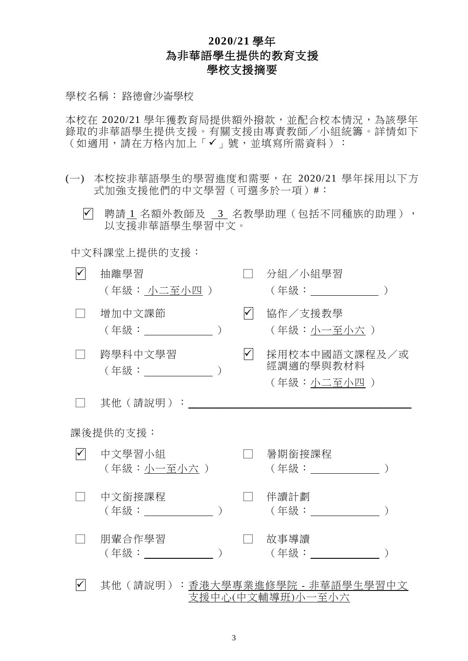## **2020/21** 學年 為非華語學生提供的教育支援 學校支援摘要

學校名稱: 路德會沙崙學校

本校在 2020/21 學年獲教育局提供額外撥款,並配合校本情況,為該學年 錄取的非華語學生提供支援。有關支援由專責教師/小組統籌。詳情如下 (如適用,請在方格內加上「√」號,並填寫所需資料):

- (一) 本校按非華語學生的學習進度和需要,在 2020/21 學年採用以下方 式加強支援他們的中文學習(可選多於一項)#:
	- √ 聘請 1 名額外教師及 3 名教學助理 (包括不同種族的助理), 以支援非華語學生學習中文。

中文科課堂上提供的支援:

| $\checkmark$ | 抽離學習<br>(年級: 小二至小四 )             |                      | 分組/小組學習                                  |
|--------------|----------------------------------|----------------------|------------------------------------------|
|              | 增加中文課節                           | $\blacktriangledown$ | 協作/支援教學<br>(年級:小一至小六)                    |
|              | 跨學科中文學習<br>(年級: _______________) | $\checkmark$         | 採用校本中國語文課程及/或<br>經調適的學與教材料<br>(年級:小二至小四) |
|              | 其他(請說明):                         |                      |                                          |
|              | 課後提供的支援:                         |                      |                                          |
| $\checkmark$ | 中文學習小組<br>(年級:小一至小六 )            |                      | 暑期銜接課程                                   |
|              | 中文銜接課程<br>(年級: ) しゅうしょう しんしょう    |                      | 伴讀計劃<br>(年級:                             |
|              | 朋輩合作學習<br>(年級:                   |                      | 故事導讀<br>(年級:                             |
|              |                                  |                      | 其他(請說明): <u>香港大學專業進修學院 - 非華語學生學習中文</u>   |

支援中心(中文輔導班)小一至小六